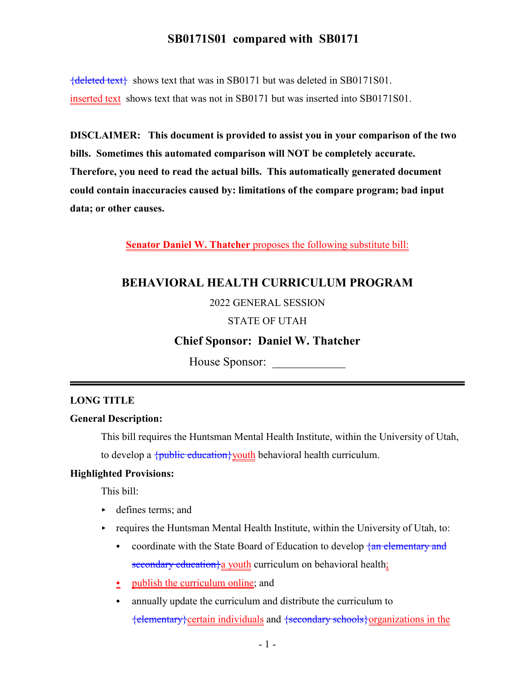# **SB0171S01 compared with SB0171**

 ${deleted text}$  shows text that was in SB0171 but was deleted in SB0171S01. inserted text shows text that was not in SB0171 but was inserted into SB0171S01.

**DISCLAIMER: This document is provided to assist you in your comparison of the two bills. Sometimes this automated comparison will NOT be completely accurate. Therefore, you need to read the actual bills. This automatically generated document could contain inaccuracies caused by: limitations of the compare program; bad input data; or other causes.**

**Senator Daniel W. Thatcher** proposes the following substitute bill:

# **BEHAVIORAL HEALTH CURRICULUM PROGRAM**

#### 2022 GENERAL SESSION

#### STATE OF UTAH

# **Chief Sponsor: Daniel W. Thatcher**

House Sponsor:

#### **LONG TITLE**

### **General Description:**

This bill requires the Huntsman Mental Health Institute, within the University of Utah, to develop a  $\{\text{public education}\}$  youth behavioral health curriculum.

#### **Highlighted Provisions:**

This bill:

- defines terms; and
- $\triangleright$  requires the Huntsman Mental Health Institute, within the University of Utah, to:
	- coordinate with the State Board of Education to develop  $\frac{1}{2}$  and elementary and secondary education a youth curriculum on behavioral health;
	- $\frac{\bullet}{\cdot}$  publish the curriculum online; and
	- annually update the curriculum and distribute the curriculum to {elementary}certain individuals and {secondary schools}organizations in the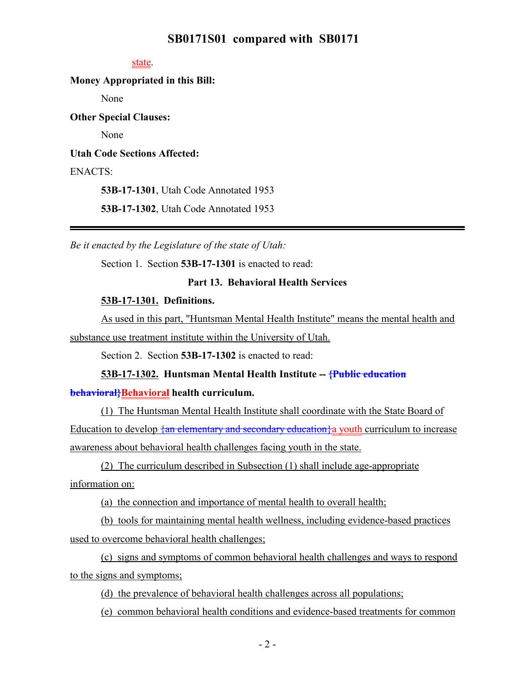## **SB0171S01 compared with SB0171**

#### state.

## **Money Appropriated in this Bill:**

None

**Other Special Clauses:**

None

**Utah Code Sections Affected:**

## ENACTS:

**53B-17-1301**, Utah Code Annotated 1953

**53B-17-1302**, Utah Code Annotated 1953

*Be it enacted by the Legislature of the state of Utah:*

Section 1. Section **53B-17-1301** is enacted to read:

## **Part 13. Behavioral Health Services**

#### **53B-17-1301. Definitions.**

As used in this part, "Huntsman Mental Health Institute" means the mental health and substance use treatment institute within the University of Utah.

Section 2. Section **53B-17-1302** is enacted to read:

#### **53B-17-1302. Huntsman Mental Health Institute -- {Public education**

#### **behavioral}Behavioral health curriculum.**

(1) The Huntsman Mental Health Institute shall coordinate with the State Board of Education to develop  $\frac{1}{2}$  an elementary and secondary education a youth curriculum to increase awareness about behavioral health challenges facing youth in the state.

(2) The curriculum described in Subsection (1) shall include age-appropriate information on:

(a) the connection and importance of mental health to overall health;

(b) tools for maintaining mental health wellness, including evidence-based practices used to overcome behavioral health challenges;

(c) signs and symptoms of common behavioral health challenges and ways to respond to the signs and symptoms;

(d) the prevalence of behavioral health challenges across all populations;

(e) common behavioral health conditions and evidence-based treatments for common